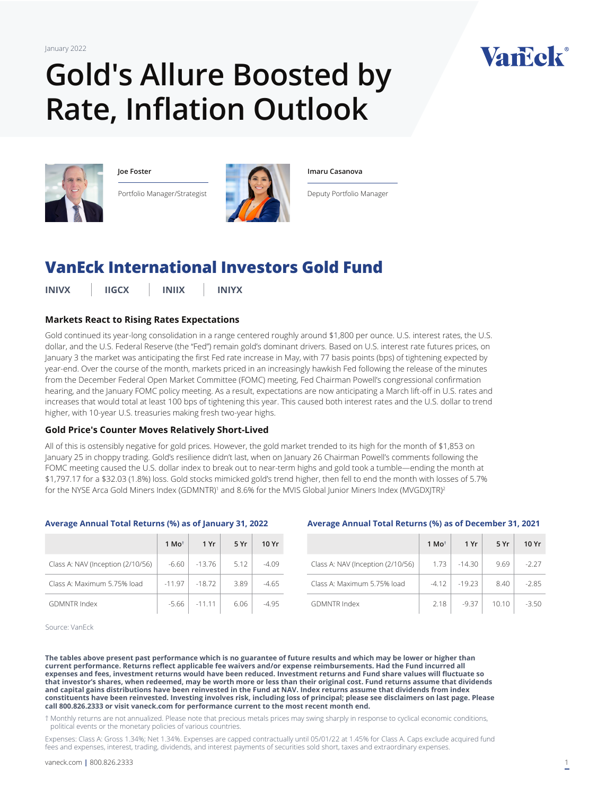January 2022

# **Gold's Allure Boosted by Rate, Inflation Outlook**



**Joe Foster**

Portfolio Manager/Strategist



#### **Imaru Casanova**

Deputy Portfolio Manager

# **[VanEck International Investors Gold Fund](https://www.vaneck.com/us/en/investments/international-investors-gold-fund-inivx/)**

**INIVX IIGCX INIIX INIYX**

## **Markets React to Rising Rates Expectations**

Gold continued its year-long consolidation in a range centered roughly around \$1,800 per ounce. U.S. interest rates, the U.S. dollar, and the U.S. Federal Reserve (the "Fed") remain gold's dominant drivers. Based on U.S. interest rate futures prices, on January 3 the market was anticipating the first Fed rate increase in May, with 77 basis points (bps) of tightening expected by year-end. Over the course of the month, markets priced in an increasingly hawkish Fed following the release of the minutes from the December Federal Open Market Committee (FOMC) meeting, Fed Chairman Powell's congressional confirmation hearing, and the January FOMC policy meeting. As a result, expectations are now anticipating a March lift-off in U.S. rates and increases that would total at least 100 bps of tightening this year. This caused both interest rates and the U.S. dollar to trend higher, with 10-year U.S. treasuries making fresh two-year highs.

#### **Gold Price's Counter Moves Relatively Short-Lived**

All of this is ostensibly negative for gold prices. However, the gold market trended to its high for the month of \$1,853 on January 25 in choppy trading. Gold's resilience didn't last, when on January 26 Chairman Powell's comments following the FOMC meeting caused the U.S. dollar index to break out to near-term highs and gold took a tumble—ending the month at \$1,797.17 for a \$32.03 (1.8%) loss. Gold stocks mimicked gold's trend higher, then fell to end the month with losses of 5.7% for the NYSE Arca Gold Miners Index (GDMNTR)' and 8.6% for the MVIS Global Junior Miners Index (MVGDXJTR)<del>'</del>

|                                   | 1 Mo <sup><math>\dagger</math></sup> | 1 Yr     | 5 Yr | 10 Yr   |
|-----------------------------------|--------------------------------------|----------|------|---------|
| Class A: NAV (Inception (2/10/56) | $-6.60$                              | $-13.76$ | 5.12 | $-4.09$ |
| Class A: Maximum 5.75% load       | $-11.97$                             | $-18.72$ | 3.89 | $-4.65$ |
| <b>GDMNTR Index</b>               | $-5.66$                              | $-11.11$ | 6.06 | -4 95   |

#### **Average Annual Total Returns (%) as of January 31, 2022**

#### **Average Annual Total Returns (%) as of December 31, 2021**

|                                   | 1 Mo <sup><math>\dagger</math></sup> | 1 Yr     | 5 Yr  | 10 Yr   |
|-----------------------------------|--------------------------------------|----------|-------|---------|
| Class A: NAV (Inception (2/10/56) | 1.73                                 | $-14.30$ | 9.69  | $-2.27$ |
| Class A: Maximum 5.75% load       | $-4.12$                              | $-19.23$ | 8.40  | $-2.85$ |
| <b>GDMNTR Index</b>               | 2.18                                 | $-9.37$  | 10.10 | $-3.50$ |

Source: VanEck

**The tables above present past performance which is no guarantee of future results and which may be lower or higher than current performance. Returns reflect applicable fee waivers and/or expense reimbursements. Had the Fund incurred all expenses and fees, investment returns would have been reduced. Investment returns and Fund share values will fluctuate so that investor's shares, when redeemed, may be worth more or less than their original cost. Fund returns assume that dividends and capital gains distributions have been reinvested in the Fund at NAV. Index returns assume that dividends from index constituents have been reinvested. Investing involves risk, including loss of principal; please see disclaimers on last page. Please call 800.826.2333 or visit vaneck.com for performance current to the most recent month end.** 

† Monthly returns are not annualized. Please note that precious metals prices may swing sharply in response to cyclical economic conditions, political events or the monetary policies of various countries.

Expenses: Class A: Gross 1.34%; Net 1.34%. Expenses are capped contractually until 05/01/22 at 1.45% for Class A. Caps exclude acquired fund fees and expenses, interest, trading, dividends, and interest payments of securities sold short, taxes and extraordinary expenses.

Vanck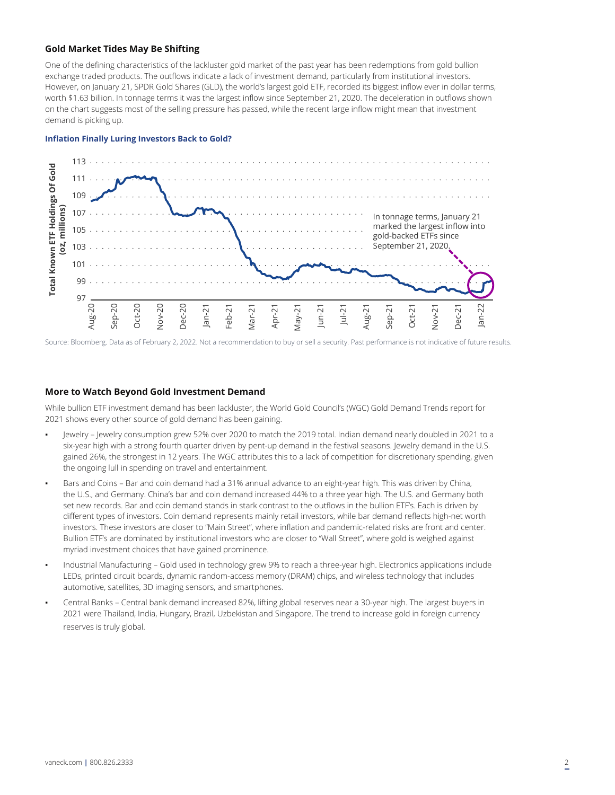#### **Gold Market Tides May Be Shifting**

One of the defining characteristics of the lackluster gold market of the past year has been redemptions from gold bullion exchange traded products. The outflows indicate a lack of investment demand, particularly from institutional investors. However, on January 21, SPDR Gold Shares (GLD), the world's largest gold ETF, recorded its biggest inflow ever in dollar terms, worth \$1.63 billion. In tonnage terms it was the largest inflow since September 21, 2020. The deceleration in outflows shown on the chart suggests most of the selling pressure has passed, while the recent large inflow might mean that investment demand is picking up.

#### **Inflation Finally Luring Investors Back to Gold?**



Source: Bloomberg. Data as of February 2, 2022. Not a recommendation to buy or sell a security. Past performance is not indicative of future results.

#### **More to Watch Beyond Gold Investment Demand**

While bullion ETF investment demand has been lackluster, the World Gold Council's (WGC) Gold Demand Trends report for 2021 shows every other source of gold demand has been gaining.

- Jewelry Jewelry consumption grew 52% over 2020 to match the 2019 total. Indian demand nearly doubled in 2021 to a six-year high with a strong fourth quarter driven by pent-up demand in the festival seasons. Jewelry demand in the U.S. gained 26%, the strongest in 12 years. The WGC attributes this to a lack of competition for discretionary spending, given the ongoing lull in spending on travel and entertainment.
- Bars and Coins Bar and coin demand had a 31% annual advance to an eight-year high. This was driven by China, the U.S., and Germany. China's bar and coin demand increased 44% to a three year high. The U.S. and Germany both set new records. Bar and coin demand stands in stark contrast to the outflows in the bullion ETF's. Each is driven by different types of investors. Coin demand represents mainly retail investors, while bar demand reflects high-net worth investors. These investors are closer to "Main Street", where inflation and pandemic-related risks are front and center. Bullion ETF's are dominated by institutional investors who are closer to "Wall Street", where gold is weighed against myriad investment choices that have gained prominence.
- Industrial Manufacturing Gold used in technology grew 9% to reach a three-year high. Electronics applications include LEDs, printed circuit boards, dynamic random-access memory (DRAM) chips, and wireless technology that includes automotive, satellites, 3D imaging sensors, and smartphones.
- Central Banks Central bank demand increased 82%, lifting global reserves near a 30-year high. The largest buyers in 2021 were Thailand, India, Hungary, Brazil, Uzbekistan and Singapore. The trend to increase gold in foreign currency reserves is truly global.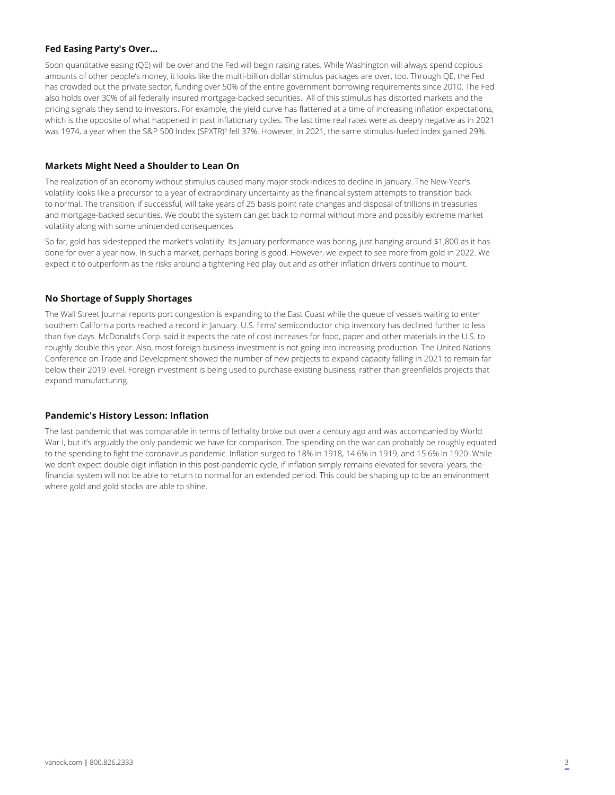## **Fed Easing Party's Over...**

Soon quantitative easing (QE) will be over and the Fed will begin raising rates. While Washington will always spend copious amounts of other people's money, it looks like the multi-billion dollar stimulus packages are over, too. Through QE, the Fed has crowded out the private sector, funding over 50% of the entire government borrowing requirements since 2010. The Fed also holds over 30% of all federally insured mortgage-backed securities. All of this stimulus has distorted markets and the pricing signals they send to investors. For example, the yield curve has flattened at a time of increasing inflation expectations, which is the opposite of what happened in past inflationary cycles. The last time real rates were as deeply negative as in 2021 was 1974, a year when the S&P 500 Index (SPXTR)<sup>3</sup> fell 37%. However, in 2021, the same stimulus-fueled index gained 29%.

#### **Markets Might Need a Shoulder to Lean On**

The realization of an economy without stimulus caused many major stock indices to decline in January. The New-Year's volatility looks like a precursor to a year of extraordinary uncertainty as the financial system attempts to transition back to normal. The transition, if successful, will take years of 25 basis point rate changes and disposal of trillions in treasuries and mortgage-backed securities. We doubt the system can get back to normal without more and possibly extreme market volatility along with some unintended consequences.

So far, gold has sidestepped the market's volatility. Its January performance was boring, just hanging around \$1,800 as it has done for over a year now. In such a market, perhaps boring is good. However, we expect to see more from gold in 2022. We expect it to outperform as the risks around a tightening Fed play out and as other inflation drivers continue to mount.

## **No Shortage of Supply Shortages**

The Wall Street Journal reports port congestion is expanding to the East Coast while the queue of vessels waiting to enter southern California ports reached a record in January. U.S. firms' semiconductor chip inventory has declined further to less than five days. McDonald's Corp. said it expects the rate of cost increases for food, paper and other materials in the U.S. to roughly double this year. Also, most foreign business investment is not going into increasing production. The United Nations Conference on Trade and Development showed the number of new projects to expand capacity falling in 2021 to remain far below their 2019 level. Foreign investment is being used to purchase existing business, rather than greenfields projects that expand manufacturing.

#### **Pandemic's History Lesson: Inflation**

The last pandemic that was comparable in terms of lethality broke out over a century ago and was accompanied by World War I, but it's arguably the only pandemic we have for comparison. The spending on the war can probably be roughly equated to the spending to fight the coronavirus pandemic. Inflation surged to 18% in 1918, 14.6% in 1919, and 15.6% in 1920. While we don't expect double digit inflation in this post-pandemic cycle, if inflation simply remains elevated for several years, the financial system will not be able to return to normal for an extended period. This could be shaping up to be an environment where gold and gold stocks are able to shine.